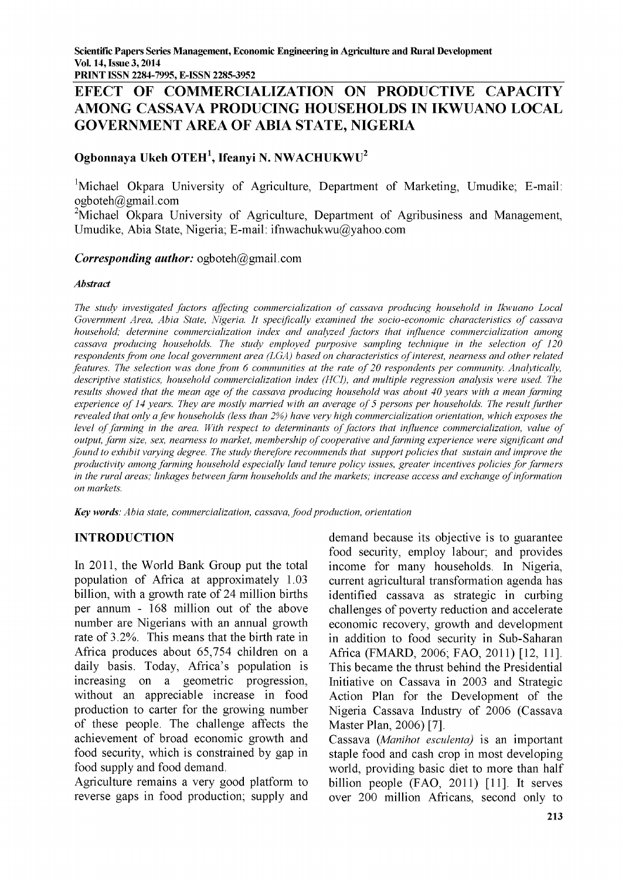**PRINT ISSN 2284-7995, E-ISSN 2285-3952\_\_\_\_\_\_\_\_\_\_\_\_\_\_\_\_\_\_\_\_\_\_\_\_\_\_\_\_\_\_\_\_\_\_\_\_\_\_\_\_\_\_\_\_\_\_\_\_\_\_\_\_\_\_\_\_\_\_\_\_\_\_**

# **EFECT OF COMMERCIALIZATION ON PRODUCTIVE CAPACITY AMONG CASSAVA PRODUCING HOUSEHOLDS IN IKWUANO LOCAL GOVERNMENT AREA OF ABIA STATE, NIGERIA**

# **Ogbonnaya Ukeh OTEH1, Ifeanyi N. NWACHUKWU2**

**1Michael Okpara University of Agriculture, Department of Marketing, Umudike; E-mail: [ogboteh@gmail.com](mailto:ogboteh@gmail.com)**

**2Michael Okpara University of Agriculture, Department of Agribusiness and Management, Umudike, Abia State, Nigeria; E-mail[: ifnwachukwu@yahoo.com](mailto:ifnwachukwu@yahoo.com)**

#### *Corresponding author:* **[ogboteh@gmail.com](mailto:ogboteh@gmail.com)**

#### *Abstract*

The study investigated factors affecting commercialization of cassava producing household in Ikwuano Local Government Area, Abia State, Nigeria. It specifically examined the socio-economic characteristics of cassava *household; determine commercialization index and analyzed factors that influence commercialization among* cassava producing households. The study employed purposive sampling technique in the selection of 120 *respondents from one local government area (LGA) based on characteristics of interest, nearness and other related features. The selection was done from 6 communities at the rate of 20 respondents per community. Analytically, descriptive statistics, household commercialization index (HCI), and multiple regression analysis were used. The results showed that the mean age of the cassava producing household was about 40 years with a mean farming experience of 14 years. They are mostly married with an average of 5 persons per households. The result further revealed that only a few households (less than 2%) have very high commercialization orientation, which exposes the level of farming in the area. With respect to determinants of factors that influence commercialization, value of output, farm size, sex, nearness to market, membership of cooperative and farming experience were significant and found to exhibit varying degree. The study therefore recommends that support policies that sustain and improve the productivity among farming household especially land tenure policy issues, greater incentives policies for farmers in the rural areas; linkages between farm households and the markets; increase access and exchange o f information on markets.*

*Key words: Abia state, commercialization, cassava, food production, orientation*

# **INTRODUCTION**

**In 2011, the World Bank Group put the total population of Africa at approximately 1.03 billion, with a growth rate of 24 million births per annum - 168 million out of the above number are Nigerians with an annual growth rate of 3.2%. This means that the birth rate in Africa produces about 65,754 children on a daily basis. Today, Africa's population is increasing on a geometric progression, without an appreciable increase in food production to carter for the growing number of these people. The challenge affects the achievement of broad economic growth and food security, which is constrained by gap in food supply and food demand.**

**Agriculture remains a very good platform to reverse gaps in food production; supply and** **demand because its objective is to guarantee food security, employ labour; and provides income for many households. In Nigeria, current agricultural transformation agenda has identified cassava as strategic in curbing challenges of poverty reduction and accelerate economic recovery, growth and development in addition to food security in Sub-Saharan Africa (FMARD, 2006; FAO, 2011) [12, 11]. This became the thrust behind the Presidential Initiative on Cassava in 2003 and Strategic Action Plan for the Development of the Nigeria Cassava Industry of 2006 (Cassava Master Plan, 2006) [7].**

**Cassava** *(Manihot esculenta)* **is an important staple food and cash crop in most developing world, providing basic diet to more than half billion people (FAO, 2011) [11]. It serves over 200 million Africans, second only to**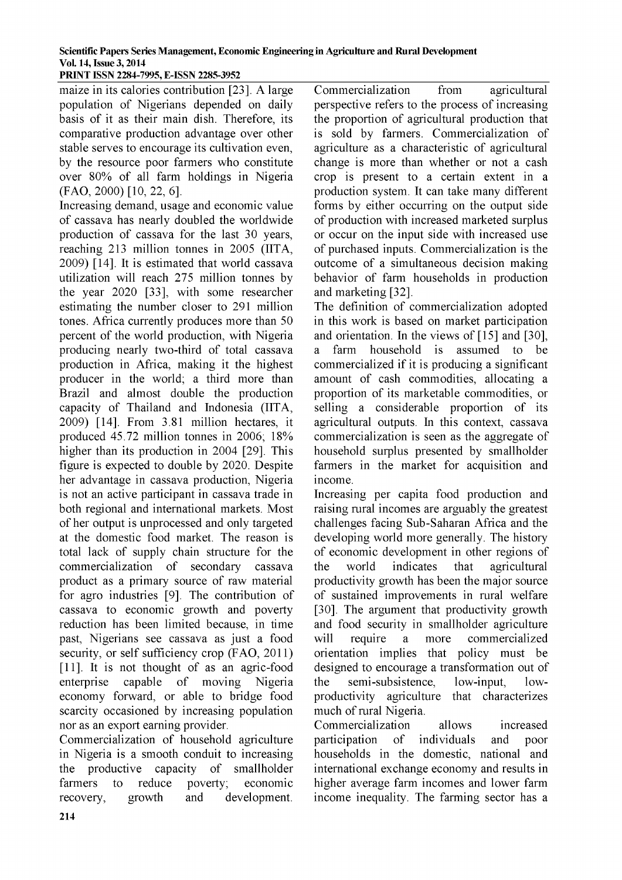#### **Scientific Papers Series Management, Economic Engineering in Agriculture and Rural Development Vol. 14, Issue 3, 2014 PRINT ISSN 2284-7995, E-ISSN 2285-3952**

**maize in its calories contribution [23]. A large population of Nigerians depended on daily basis of it as their main dish. Therefore, its comparative production advantage over other stable serves to encourage its cultivation even, by the resource poor farmers who constitute over 80% of all farm holdings in Nigeria (FAO, 2000) [10, 22, 6].**

**Increasing demand, usage and economic value of cassava has nearly doubled the worldwide production of cassava for the last 30 years, reaching 213 million tonnes in 2005 (IITA, 2009) [14]. It is estimated that world cassava utilization will reach 275 million tonnes by the year 2020 [33], with some researcher estimating the number closer to 291 million tones. Africa currently produces more than 50 percent of the world production, with Nigeria producing nearly two-third of total cassava production in Africa, making it the highest producer in the world; a third more than Brazil and almost double the production capacity of Thailand and Indonesia (IITA, 2009) [14]. From 3.81 million hectares, it produced 45.72 million tonnes in 2006; 18% higher than its production in 2004 [29]. This figure is expected to double by 2020. Despite her advantage in cassava production, Nigeria is not an active participant in cassava trade in both regional and international markets. Most of her output is unprocessed and only targeted at the domestic food market. The reason is total lack of supply chain structure for the commercialization of secondary cassava product as a primary source of raw material for agro industries [9]. The contribution of cassava to economic growth and poverty reduction has been limited because, in time past, Nigerians see cassava as just a food security, or self sufficiency crop (FAO, 2011) [11]. It is not thought of as an agric-food enterprise capable of moving Nigeria economy forward, or able to bridge food scarcity occasioned by increasing population nor as an export earning provider.**

**Commercialization of household agriculture in Nigeria is a smooth conduit to increasing the productive capacity of smallholder farmers to reduce poverty; economic recovery, growth and development.**

**Commercialization from agricultural perspective refers to the process of increasing the proportion of agricultural production that is sold by farmers. Commercialization of agriculture as a characteristic of agricultural change is more than whether or not a cash crop is present to a certain extent in a production system. It can take many different forms by either occurring on the output side of production with increased marketed surplus or occur on the input side with increased use of purchased inputs. Commercialization is the outcome of a simultaneous decision making behavior of farm households in production and marketing [32].**

**The definition of commercialization adopted in this work is based on market participation and orientation. In the views of [15] and [30], a farm household is assumed to be commercialized if it is producing a significant amount of cash commodities, allocating a proportion of its marketable commodities, or selling a considerable proportion of its agricultural outputs. In this context, cassava commercialization is seen as the aggregate of household surplus presented by smallholder farmers in the market for acquisition and income.**

**Increasing per capita food production and raising rural incomes are arguably the greatest challenges facing Sub-Saharan Africa and the developing world more generally. The history of economic development in other regions of the world indicates that agricultural productivity growth has been the major source of sustained improvements in rural welfare [30]. The argument that productivity growth and food security in smallholder agriculture will require a more commercialized orientation implies that policy must be designed to encourage a transformation out of the semi-subsistence, low-input, lowproductivity agriculture that characterizes much of rural Nigeria.**

**Commercialization allows increased participation of individuals and poor households in the domestic, national and international exchange economy and results in higher average farm incomes and lower farm income inequality. The farming sector has a**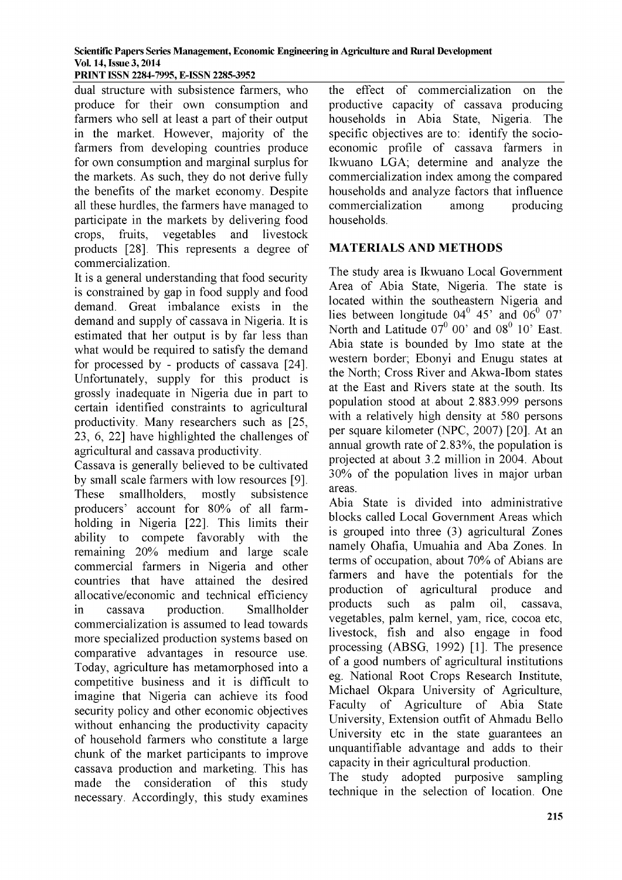**PRINT ISSN 2284-7995, E-ISSN 2285-3952\_\_\_\_\_\_\_\_\_\_\_**

**dual structure with subsistence farmers, who produce for their own consumption and farmers who sell at least a part of their output in the market. However, majority of the farmers from developing countries produce for own consumption and marginal surplus for the markets. As such, they do not derive fully the benefits of the market economy. Despite all these hurdles, the farmers have managed to participate in the markets by delivering food crops, fruits, vegetables and livestock products [28]. This represents a degree of commercialization.**

**It is a general understanding that food security is constrained by gap in food supply and food demand. Great imbalance exists in the demand and supply of cassava in Nigeria. It is estimated that her output is by far less than what would be required to satisfy the demand for processed by - products of cassava [24]. Unfortunately, supply for this product is grossly inadequate in Nigeria due in part to certam identified constraints to agricultural productivity. Many researchers such as [25, 23, 6, 22] have highlighted the challenges of agricultural and cassava productivity.**

**Cassava is generally believed to be cultivated by small scale farmers with low resources [9]. These smallholders, mostly subsistence producers' account for 80% of all farmholding in Nigeria [22]. This limits their ability to compete favorably with the remaining 20% medium and large scale commercial farmers in Nigeria and other countries that have attained the desired allocative/economic and technical efficiency in cassava production. Smallholder commercialization is assumed to lead towards more specialized production systems based on comparative advantages in resource use. Today, agriculture has metamorphosed into a competitive business and it is difficult to imagine that Nigeria can achieve its food security policy and other economic objectives without enhancing the productivity capacity of household farmers who constitute a large chunk of the market participants to improve cassava production and marketing. This has made the consideration of this study necessary. Accordingly, this study examines** **the effect of commercialization on the productive capacity of cassava producing households in Abia State, Nigeria. The specific objectives are to: identify the socioeconomic profile of cassava farmers in Ikwuano LGA; determine and analyze the commercialization index among the compared households and analyze factors that influence commercialization among producing households.**

### **MATERIALS AND METHODS**

**The study area is Ikwuano Local Government Area of Abia State, Nigeria. The state is located within the southeastern Nigeria and** lies between longitude  $04^0$  45' and  $06^0$  07' North and Latitude  $07^0$  00' and  $08^0$  10' East. **Abia state is bounded by Imo state at the western border; Ebonyi and Enugu states at the North; Cross River and Akwa-Ibom states at the East and Rivers state at the south. Its population stood at about 2.883.999 persons with a relatively high density at 580 persons per square kilometer (NPC, 2007) [20]. At an annual growth rate of 2.83%, the population is projected at about 3.2 million in 2004. About 30% of the population lives in major urban areas.**

**Abia State is divided into administrative blocks called Local Government Areas which is grouped into three (3) agricultural Zones namely Ohafia, Umuahia and Aba Zones. In terms of occupation, about 70% of Abians are farmers and have the potentials for the production of agricultural produce and products such as palm oil, cassava, vegetables, palm kernel, yam, rice, cocoa etc, livestock, fish and also engage in food processing (ABSG, 1992) [1]. The presence of a good numbers of agricultural institutions eg. National Root Crops Research Institute, Michael Okpara University of Agriculture, Faculty of Agriculture of Abia State University, Extension outfit of Ahmadu Bello University etc in the state guarantees an unquantifiable advantage and adds to their capacity in their agricultural production.**

**The study adopted purposive sampling technique in the selection of location. One**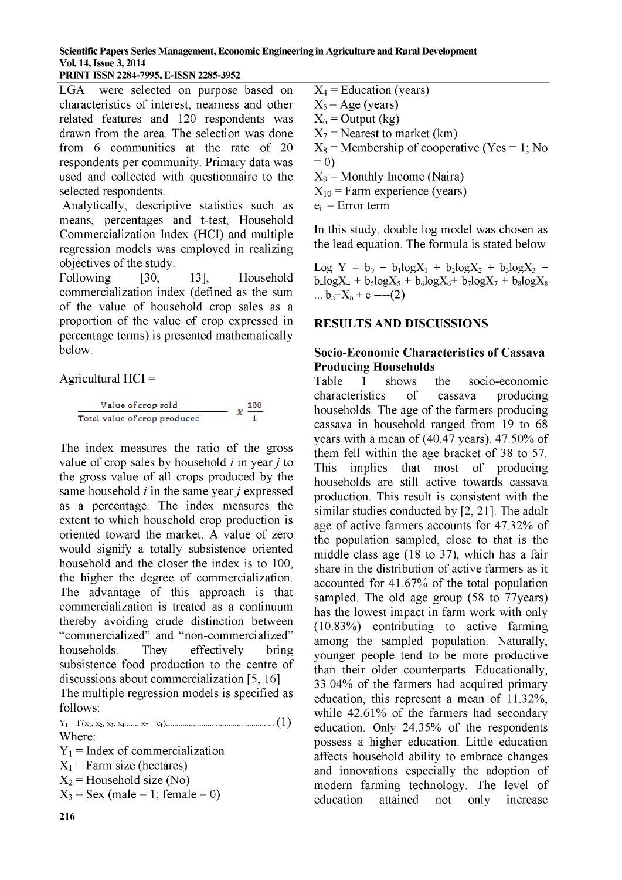#### **PRINT ISSN 2284-7995, E-ISSN 2285-3952\_\_\_\_\_\_\_\_\_\_\_**

LGA were selected on purpose based on characteristics of interest, nearness and other related features and 120 respondents was drawn from the area. The selection was done from  $6$  communities at the rate of  $20$ respondents per community. Primary data was used and collected with questionnaire to the selected respondents.

Analytically, descriptive statistics such as means, percentages and t-test, Household Commercialization Index (HCI) and multiple regression models was employed in realizing objectives of the study.

Following [30, 13], Household commercialization index (defined as the sum of the value of household crop sales as a proportion of the value of crop expressed in percentage terms) is presented mathematically below.

A gricultural  $HCI =$ 



The index measures the ratio of the gross value of crop sales by household  $i$  in year  $j$  to the gross value of all crops produced by the same household  $i$  in the same year  $j$  expressed as a percentage. The index measures the extent to which household crop production is oriented toward the market. A value of zero would signify a totally subsistence oriented household and the closer the index is to 100, the higher the degree of commercialization. The advantage of this approach is that commercialization is treated as a continuum thereby avoiding crude distinction between " commercialized" and "non-commercialized" households. They effectively bring subsistence food production to the centre of discussions about commercialization  $[5, 16]$ The multiple regression models is specified as follows:

Y1 = f (x1, x2, x3, x4..... x7 + e0............. ................................ ( 1) Where:

 $Y_1$  = Index of commercialization  $X_1$  = Farm size (hectares)  $X_2$  = Household size (No)  $X_3$  = Sex (male = 1; female = 0)

 $X_4$  = Education (years)  $X_5$  = Age (years)  $X_6$  = Output (kg)  $X_7$  = Nearest to market (km)  $X_8$  = Membership of cooperative (Yes = 1; No  $= 0$  $X_9$  = Monthly Income (Naira)  $X_{10}$  = Farm experience (years)  $e_i$  = Error term

In this study, double log model was chosen as the lead equation. The formula is stated below

Log Y =  $b_0$  +  $b_1 \log X_1$  +  $b_2 \log X_2$  +  $b_3 \log X_3$  +  $b_4$ logX<sub>4</sub> +  $b_5$ logX<sub>5</sub> +  $b_6$ logX<sub>6</sub>+  $b_7$ logX<sub>7</sub> +  $b_8$ logX<sub>8</sub> ...  $b_n+X_n+e$  ----(2)

### **RESULTS AND DISCUSSIONS**

#### **Socio-Economic Characteristics of Cassava Producing Households**

Table 1 shows the socio-economic characteristics of cassava producing households. The age of the farmers producing cassava in household ranged from 19 to 68 years with a mean of  $(40.47 \text{ years})$ . 47.50% of them fell within the age bracket of 38 to 57. This implies that most of producing households are still active towards cassava production. This result is consistent with the similar studies conducted by  $[2, 21]$ . The adult age of active farmers accounts for 47.32% of the population sampled, close to that is the middle class age (18 to 37), which has a fair share in the distribution of active farmers as it accounted for  $41.67\%$  of the total population sampled. The old age group (58 to 77 years) has the lowest impact in farm work with only  $(10.83%)$  contributing to active farming among the sampled population. Naturally, younger people tend to be more productive than their older counterparts. Educationally,  $33.04\%$  of the farmers had acquired primary education, this represent a mean of  $11.32\%$ , while  $42.61\%$  of the farmers had secondary education. Only  $24.35\%$  of the respondents possess a higher education. Little education affects household ability to embrace changes and innovations especially the adoption of modern farming technology. The level of education attained not only increase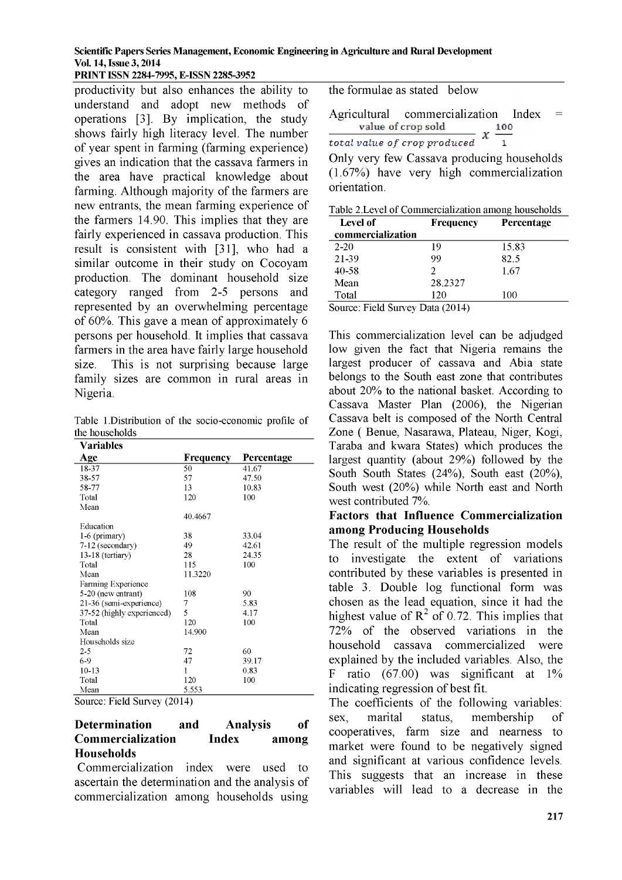**PRINT ISSN 2284-7995, E-ISSN 2285-3952\_\_\_\_\_\_\_\_\_\_\_**

**productivity but also enhances the ability to understand and adopt new methods of operations [3]. By implication, the study shows fairly high literacy level. The number of year spent in farming (farming experience) gives an indication that the cassava farmers in the area have practical knowledge about farming. Although majority of the farmers are new entrants, the mean farming experience of the farmers 14.90. This implies that they are fairly experienced in cassava production. This result is consistent with [31], who had a similar outcome in their study on Cocoyam production. The dominant household size category ranged from 2-5 persons and represented by an overwhelming percentage of 60%. This gave a mean of approximately 6 persons per household. It implies that cassava farmers in the area have fairly large household size. This is not surprising because large family sizes are common in rural areas in Nigeria.**

Table 1.D istribution of the socio-economic profile of the households

| Variables                  |                  |            |
|----------------------------|------------------|------------|
| Age                        | <b>Frequency</b> | Percentage |
| 18-37                      | 50               | 41.67      |
| 38-57                      | 57               | 47.50      |
| 58-77                      | 13               | 10.83      |
| Total                      | 120              | 100        |
| Mean                       |                  |            |
|                            | 40.4667          |            |
| Education                  |                  |            |
| $1-6$ (primary)            | 38               | 33.04      |
| 7-12 (secondary)           | 49               | 42.61      |
| 13-18 (tertiary)           | 28               | 24.35      |
| Total                      | 115              | 100        |
| Mean                       | 11.3220          |            |
| Farming Experience         |                  |            |
| 5-20 (new entrant)         | 108              | 90         |
| 21-36 (semi-experience)    | 7                | 5.83       |
| 37-52 (highly experienced) | 5                | 4.17       |
| Total                      | 120              | 100        |
| Mean                       | 14.900           |            |
| Households size            |                  |            |
| $2 - 5$                    | 72               | 60         |
| 6-9                        | 47               | 39.17      |
| $10 - 13$                  | 1                | 0.83       |
| Total                      | 120              | 100        |
| Mean                       | 5.553            |            |

Source: Field Survey (2014)

#### **Determination and Analysis of Commercialization Index among Households**

**Commercialization index were used to ascertain the determination and the analysis of commercialization among households using**

**the formulae as stated below**

Agricultural commercialization Index =<br> $x \xrightarrow{100} x \xrightarrow{100} x$ value of crop sold

*total value of crop produced* **1**

**Only very few Cassava producing households (1.67%) have very high commercialization orientation.**

| Table 2. Level of Commercialization among households |  |
|------------------------------------------------------|--|
|                                                      |  |

| <b>Level of</b>                  | Percentage<br>Frequency |       |
|----------------------------------|-------------------------|-------|
| commercialization                |                         |       |
| $2 - 20$                         | 19                      | 15.83 |
| 21-39                            | 99                      | 82.5  |
| 40-58                            | 2                       | 1.67  |
| Mean                             | 28.2327                 |       |
| Total                            | 120                     | 100   |
| Source: Field Survey Data (2014) |                         |       |

1a (2014)

**This commercialization level can be adjudged low given the fact that Nigeria remains the largest producer of cassava and Abia state belongs to the South east zone that contributes about 20% to the national basket. According to Cassava Master Plan (2006), the Nigerian Cassava belt is composed of the North Central Zone ( Benue, Nasarawa, Plateau, Niger, Kogi, Taraba and kwara States) which produces the largest quantity (about 29%) followed by the South South States (24%), South east (20%), South west (20%) while North east and North west contributed 7%.**

#### **Factors that Influence Commercialization among Producing Households**

**The result of the multiple regression models to investigate the extent of variations contributed by these variables is presented in table 3. Double log functional form was chosen as the lead equation, since it had the** highest value of  $R^2$  of 0.72. This implies that **72% of the observed variations in the household cassava commercialized were explained by the included variables. Also, the F ratio (67.00) was significant at 1% indicating regression of best fit.**

**The coefficients of the following variables: sex, marital status, membership of cooperatives, farm size and nearness to market were found to be negatively signed and significant at various confidence levels. This suggests that an increase in these variables will lead to a decrease in the**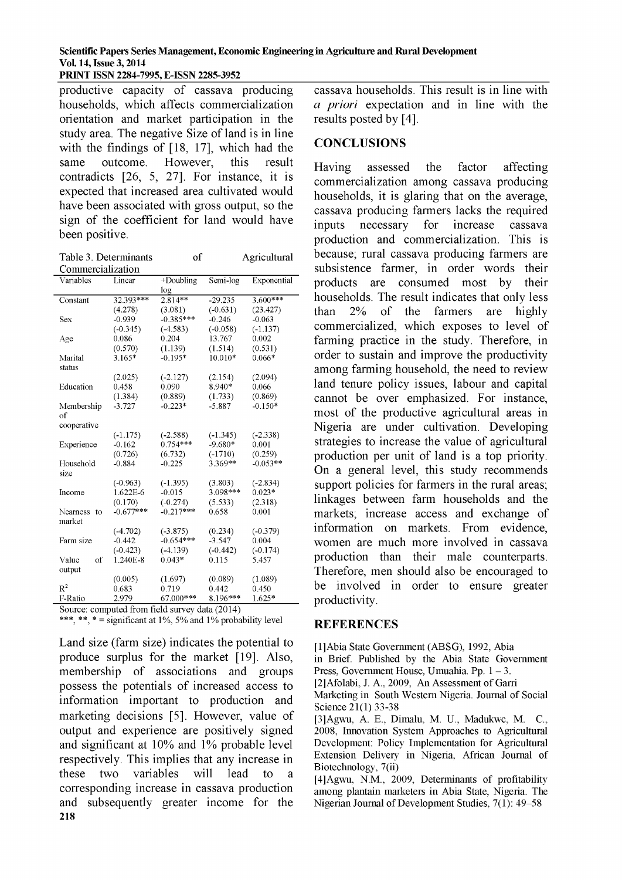**PRINT ISSN 2284-7995, E-ISSN 2285-3952**

**productive capacity of cassava producing households, which affects commercialization orientation and market participation in the study area. The negative Size of land is in line with the findings of [18, 17], which had the same outcome. However, this result contradicts [26, 5, 27]. For instance, it is expected that increased area cultivated would have been associated with gross output, so the sign of the coefficient for land would have been positive.**

| Table 3. Determinants |        | of           |          | Agricultural |
|-----------------------|--------|--------------|----------|--------------|
| Commercialization     |        |              |          |              |
| Variables             | Linear | $+$ Doubling | Semi-log | Exponential  |

| v aliaolos     |             | <i>D</i> ouonng | <b>DULLE</b> IVE | <b>LAPOTIOIHAI</b> |
|----------------|-------------|-----------------|------------------|--------------------|
|                |             | log             |                  |                    |
| Constant       | 32.393***   | $2.814**$       | $-29.235$        | $3.600***$         |
|                | (4.278)     | (3.081)         | (.0.631)         | (23.427)           |
| Sex            | $-0.939$    | $-0.385***$     | $-0.246$         | $-0.063$           |
|                | $(-0.345)$  | $(-4.583)$      | $(-0.058)$       | $(-1.137)$         |
| Age            | 0.086       | 0.204           | 13.767           | 0.002              |
|                | (0.570)     | (1.139)         | (1.514)          | (0.531)            |
| Marital        | 3.165*      | $-0.195*$       | 10.010*          | $0.066*$           |
| status         |             |                 |                  |                    |
|                | (2.025)     | $(-2.127)$      | (2.154)          | (2.094)            |
| Education      | 0.458       | 0.090           | 8.940*           | 0.066              |
|                | (1.384)     | (0.889)         | (1.733)          | (0.869)            |
| Membership     | $-3.727$    | $-0.223*$       | $-5.887$         | $-0.150*$          |
| of             |             |                 |                  |                    |
| cooperative    |             |                 |                  |                    |
|                | $(-1.175)$  | $(-2.588)$      | $(-1.345)$       | $(-2.338)$         |
| Experience     | $-0.162$    | $0.754***$      | $-9.680*$        | 0.001              |
|                | (0.726)     | (6.732)         | $(-1710)$        | (0.259)            |
| Household      | $-0.884$    | $-0.225$        | 3.369**          | $-0.053**$         |
| size           |             |                 |                  |                    |
|                | $(-0.963)$  | $(-1.395)$      | (3.803)          | $(-2.834)$         |
| Income         | 1.622E-6    | $-0.015$        | 3.098***         | $0.023*$           |
|                | (0.170)     | $(-0.274)$      | (5.533)          | (2.318)            |
| Nearness<br>to | $-0.677***$ | $-0.217***$     | 0.658            | 0.001              |
| market         |             |                 |                  |                    |
|                | $(-4.702)$  | $(-3.875)$      | (0.234)          | $(-0.379)$         |
| Farm size      | $-0.442$    | $-0.654***$     | $-3.547$         | 0.004              |
|                | $(-0.423)$  | $(-4.139)$      | $(-0.442)$       | $(-0.174)$         |
| of<br>Value    | 1.240E-8    | $0.043*$        | 0.115            | 5.457              |
| output         |             |                 |                  |                    |
|                | (0.005)     | (1.697)         | (0.089)          | (1.089)            |
| $R^2$          | 0.683       | 0.719           | 0.442            | 0.450              |
| F-Ratio        | 2.979       | 67.000***       | 8.196***         | 1.625*             |

Source: computed from field survey data (2014)

\*\*\*, \*\*, \* = significant at  $1\%$ ,  $5\%$  and  $1\%$  probability level

**Land size (farm size) indicates the potential to produce surplus for the market [19]. Also, membership of associations and groups possess the potentials of increased access to information important to production and marketing decisions [5]. However, value of output and experience are positively signed and significant at 10% and 1% probable level respectively. This implies that any increase in these two variables will lead to a corresponding increase in cassava production and subsequently greater income for the 218**

**cassava households. This result is in line with** *a priori* **expectation and in line with the results posted by [4].**

#### **CONCLUSIONS**

**Having assessed the factor affecting commercialization among cassava producing households, it is glaring that on the average, cassava producing farmers lacks the required inputs necessary for increase cassava production and commercialization. This is because; rural cassava producing farmers are subsistence farmer, in order words their products are consumed most by their households. The result indicates that only less than 2% of the farmers are highly commercialized, which exposes to level of farming practice in the study. Therefore, in order to sustain and improve the productivity among farming household, the need to review land tenure policy issues, labour and capital cannot be over emphasized. For instance, most of the productive agricultural areas in Nigeria are under cultivation. Developing strategies to increase the value of agricultural production per unit of land is a top priority. On a general level, this study recommends support policies for farmers in the rural areas; linkages between farm households and the markets; increase access and exchange of information on markets. From evidence, women are much more involved in cassava production than their male counterparts. Therefore, men should also be encouraged to be involved in order to ensure greater productivity.**

#### **REFERENCES**

[1]Abia State Government (ABSG), 1992, Abia

in Brief. Published by the Abia State Government Press, Government House, Umuahia. Pp.  $1 - 3$ .

[2]Afolabi, J. A., 2009, An Assessment of Garri

Marketing in South Western Nigeria. Journal of Social Science 21(1) 33-38

 $[3]$ Agwu, A. E., Dimalu, M. U., Madukwe, M. C., 2008, Innovation System Approaches to Agricultural Development: Policy Implementation for Agricultural Extension Delivery in Nigeria, African Journal of Biotechnology, 7(ii)

[4]Agwu, N.M., 2009, Determinants of profitability among plantain marketers in Abia State, Nigeria. The Nigerian Journal of Development Studies,  $7(1)$ : 49-58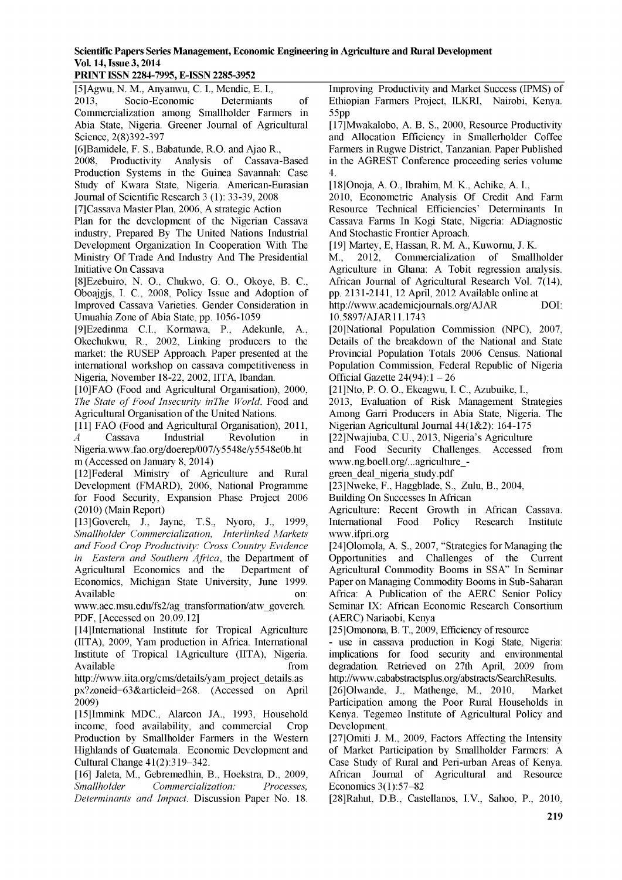#### **PRINT ISSN 2284-7995, E-ISSN 2285-3952\_\_\_\_\_\_\_\_\_\_\_**

[5]Agwu, N. M., Anyanwu, C. I., Mendie, E. I., 2013, Socio-Economic Determiants of Commercialization among Smallholder Farmers in Abia State, Nigeria. Greener Journal of Agricultural Science, 2(8)392-397

[6]Bamidele, F. S., Babatunde, R.O. and Ajao R., 2008, Productivity Analysis of Cassava-Based Production Systems in the Guinea Savannah: Case Study of Kwara State, Nigeria. American-Eurasian Journal of Scientific Research 3 (1): 33-39, 2008

[7]Cassava Master Plan, 2006, A strategic Action

Plan for the development of the Nigerian Cassava industry, Prepared By The United Nations Industrial Development Organization In Cooperation With The Ministry Of Trade And Industry And The Presidential Initiative On Cassava

[8]Ezebuiro, N. O., Chukwo, G. O., Okoye, B. C., Oboajgjs, I. C., 2008, Policy Issue and Adoption of Improved Cassava Varieties. Gender Consideration in Umuahia Zone of Abia State, pp. 1056-1059

[9]Ezedinma C.I., Kormawa, P., Adekunle, A., Okechukwu, R., 2002, Linking producers to the market: the RUSEP Approach. Paper presented at the international workshop on cassava competitiveness in Nigeria, November 18-22, 2002, IITA, Ibandan.

[10]FA0 (Food and Agricultural Organisation), 2000, The State of Food Insecurity inThe World. Food and Agricultural Organisation of the United Nations.

[11] FAO (Food and Agricultural Organisation), 2011, *A* Cassava Industrial Revolution in Nigeria[.www.fao.org/doerep/007/y5548e/y5548e0b.ht](http://www.fao.org/doerep/007/y5548e/y5548e0b.ht)  m (Accessed on January 8, 2014)

[12]Federal Ministry of Agriculture and Rural Development (FMARD), 2006, National Programme for Food Security, Expansion Phase Project 2006 (2010) (Main Report)

[13]Govereh, J., Jayne, T.S., Nyoro, J., 1999, *Smallholder Commercialization, Interlinked Markets and Food Crop Productivity: Cross Country Evidence in Eastern and Southern Africa,* the Department of Agricultural Economics and the Department of Economics, Michigan State University, June 1999. Available on:

[www.aec.msu.edu/fs2/ag\\_transformation/atw\\_govereh](http://www.aec.msu.edu/fs2/ag_transformation/atw_govereh). PDF, [Accessed on 20.09.12]

[14]International Institute for Tropical Agriculture (IITA), 2009, Yam production in Africa. International Institute of Tropical 1Agriculture (IITA), Nigeria. Available from the state of  $\sim$  from the state of  $\sim$  from the state of  $\sim$  from the state of  $\sim$  from the state of  $\sim$  from the state of  $\sim$  from the state of  $\sim$  from the state of  $\sim$  from the state of  $\sim$  from

[http://www.iita.org/cms/details/yam\\_project\\_details.as](http://www.iita.org/cms/details/yam_project_details.as)  px?zoneid=63&articleid=268. (Accessed on April 2009)

[15]Immink MDC., Alarcon JA., 1993, Household income, food availability, and commercial Crop Production by Smallholder Farmers in the Western Highlands of Guatemala. Economic Development and Cultural Change 41(2):319-342.

[16] Jaleta, M., Gebremedhin, B., Hoekstra, D., 2009, *Smallholder Commercialization: Processes, Determinants and Impact*. Discussion Paper No. 18. Improving Productivity and Market Success (IPMS) of Ethiopian Farmers Project, ILKRI, Nairobi, Kenya. 55pp

[17]Mwakalobo, A. B. S., 2000, Resource Productivity and Allocation Efficiency in Smallerholder Coffee Farmers in Rugwe District, Tanzanian. Paper Published in the AGREST Conference proceeding series volume 4.

[18]Onoja, A. O., Ibrahim, M. K., Achike, A. I.,

2010, Econometric Analysis Of Credit And Farm Resource Technical Efficiencies' Determinants In Cassava Farms In Kogi State, Nigeria: ADiagnostic And Stochastic Frontier Aproach.

[19] Martey, E, Hassan, R. M. A., Kuwornu, J. K.

M., 2012, Commercialization of Smallholder Agriculture in Ghana: A Tobit regression analysis. African Journal of Agricultural Research Vol. 7(14), pp. 2131-2141, 12 April, 2012 Available online at

[http://www.academicjournals.org/AJAR D](http://www.academicjournals.org/AJAR)OI: 10.5897/AJAR11.1743

[20]National Population Commission (NPC), 2007, Details of the breakdown of the National and State Provincial Population Totals 2006 Census. National Population Commission, Federal Republic of Nigeria Official Gazette  $24(94):1 - 26$ 

[21]Nto, P. O. O., Ekeagwu, I. C., Azubuike, I.,

2013, Evaluation of Risk Management Strategies Among Garri Producers in Abia State, Nigeria. The Nigerian Agricultural Journal 44(1&2): 164-175

[22]Nwajiuba, C.U., 2013, Nigeria's Agriculture

and Food Security Challenges. Accessed from [www.ng.boell.org/...agriculture\\_-](http://www.ng.boell.org/...agriculture_-green_deal_nigeria_study.pdf)

[green\\_deal\\_nigeria\\_study.pdf](http://www.ng.boell.org/...agriculture_-green_deal_nigeria_study.pdf)

[23]Nweke, F., Haggblade, S., Zulu, B., 2004,

Building On Successes In African

Agriculture: Recent Growth in African Cassava. International Food Policy Research Institute [www.ifpri.org](http://www.ifpri.org/)

[24]Olomola, A. S., 2007, "Strategies for Managing the Opportunities and Challenges of the Current Agricultural Commodity Booms in SSA" In Seminar Paper on Managing Commodity Booms in Sub-Saharan Africa: A Publication of the AERC Senior Policy Seminar IX: African Economic Research Consortium (AERC) Nariaobi, Kenya

[25]Omonona, B. T., 2009, Efficiency of resource

- use in cassava production in Kogi State, Nigeria: implications for food security and environmental degradation. Retrieved on 27th April, 2009 from [http://www.cababstractsplus.org/abstracts/SearchResults.](http://www.cababstractsplus.org/abstracts/SearchResults)

[26]Olwande, J., Mathenge, M., 2010, Market Participation among the Poor Rural Households in Kenya. Tegemeo Institute of Agricultural Policy and Development.

[27]Omiti J. M., 2009, Factors Affecting the Intensity of Market Participation by Smallholder Farmers: A Case Study of Rural and Peri-urban Areas of Kenya. African Journal of Agricultural and Resource Economics 3(1):57-82

[28]Rahut, D.B., Castellanos, I.V., Sahoo, P., 2010,